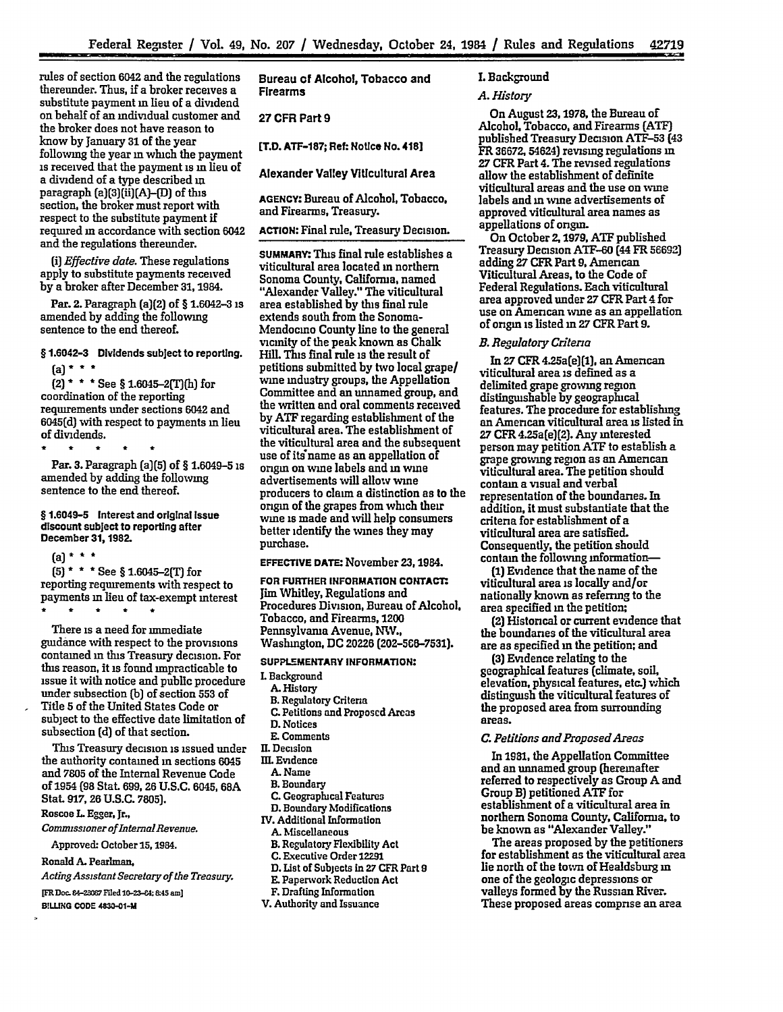rules of section 6042 and the regulations thereunder. Thus, if a broker receives a substitute payment in lieu of a dividend on behalf of an individual customer and the broker does not have reason to know **by** January **31** of the year following the year in which the payment is received that the payment is in lieu of a dividend of a type described **in** paragraph (a)(3][ii)[A)-[D) of this section, the broker must report with respect to the substitute payment if required in accordance with section **6042** and the regulations thereunder.

*(i) Effective date.* These regulations apply to substitute payments received by a broker after December 31,1984.

Par. 2. Paragraph (a)(2) of § 1.6042-3 is amended **by** adding the following sentence to the end thereof.

§ **1.6042-3** Dividends subject to reporting. (a) **\* \* \***

(2) **\* \* \*** See § 1.6045-2(T)(h) for coordination of the reporting requirements under sections 6042 and **6045(d)** with respect to payments **in** lieu of dividends.

Par. **3.** Paragraph (a)(5) of § 1.6049-5 is amended **by** adding the following sentence to the end thereof.

§ 1.6049-5 Interest and original issue discount subject to reporting after December **31,1982.**

(a) **\* \* \***

**(5) \* \* \*** See § 1.6045--2T for reporting requirements with respect to payments in lieu of tax-exempt interest • \* \* \* \*

There is a need for immediate guidance with respect to the provisions contained in **this** Treasury decision. For this reason, it is found impracticable to issue it with notice and public procedure under subsection **(b)** of section **553** of Title **5** of the United States Code or subject to the effective date limitation of subsection **(d)** of that section.

This Treasury decision is issued under the authority contamed in sections 6045 and **7805** of the Internal Revenue Code of 1954 **(98** Stat **699,** 26 **U.S.C.** 6045, **68A** Stat **917,26 U.S.C. 7805).**

Roscoe **L.** Egger, Jr.,

*Comamsszoner of IntermalRevenue.*

Approved. October **15,** 1984.

Ronald **A.** Pearlman,

*ActingAssistantSecretaryof the Treasury.*

**[FR Doc** 84-,07 Friled **10-23--4:** &45 **am]**

B!LLING **CODE 4830-01-M**

**Bureau of Alcohol, Tobacco and** Firearms

Buea o lcho" oaco1n

**27** CFR Part **9**

[T.D. **ATF-187; Ret:** Notice No. 418]

Alexander Valley Viticultural Area

**AGENCY:** Bureau of Alcohol, Tobacco, and Firearms, Treasury.

**ACTION:** Final rule, Treasury Decision.

**SUMMARY.** This final rule establishes a viticultural area located in northern Sonoma County, California, named "Alexander Valley." The viticultural area established **by** this final rule extends south from the Sonoma-Mendocmo County line to the general vicinity of the peak known as Chalk Hill. This final rule is the result of petitions submitted **by** two local grape/ wine industry groups, the Appellation Committee and an unnamed group, and the written and oral comments received **by ATF** regarding establishment of the viticultural area. The establishment of the viticultural area and the subsequent use of its name as an appellation of origin on wine labels and in wine advertisements will allow wine producers to claim a distinction as to the origin of the grapes from which their wine is made and will help consumers better identify the wines they may purchase.

# **EFFECTIVE DATE:** November 23,1984.

**FOR FURTHER INFORMATION CONTACT.** Jim Whitley, Regulations and Procedures Division, Bureau of Alcohol, Tobacco, and Firearms, 1200 Pennsylvania Avenue, NW., Washington, **DC** 20226 **(202-560-7531).**

### **SUPPLEMENTARY INFORMATION:**

- L Background
- **A.** History
- B. Regulatory Criteria
- **C.** Petitions and Proposed Areas
- **D.** Notices
- **E.** Comments
- **1.** Decision
- **nlL** Evidence
	- **A.** Name
	- B. Boundary
- **C.** Geographical Features
- **D.** Boundary Modifications
- IV. Additional Information
- **A.** Miscellaneous
- B. Regulatory Flexibility Act
- **C. Executive Order 12291**
- **D.** List of Subjects in **27** CFR Part **9**
- E. Papervork Reduction Act
- F. Drafting Information
- V. Authority and Issuance

## **L** Background

# *A. History*

On August **23,1978,** the Bureau of Alcohol, Tobacco, and Firearms (ATF) published Treasury Decision **ATF-53** (43 FR **36672.** 54624) revising regulations in **27** CFR Part 4. The revised regulations allow the establishment of definite viticultural areas and the use on wine labels and **in** wine advertisements of approved viticultural area names as appellations of origin.

On October 21979, **ATF** published Treasury Decision **ATF-60** (44 FR **56692)** adding 27 CFR Part **9,** American Viticultural Areas, to the Code of Federal Regulations. Each viticultural area approved under **27** CFR Part 4 for use on American wine as an appellation of origin is listed in 27 CFR Part **9.**

# *B. Regulatory Citena*

In 27 CFR 4.25a(e)(1). an American viticultural area is defined as a delimited grape growing region distinguishable **by** geographical features. The procedure for establishing an American viticultural area is listed in **27** CFR 4.25a(e)(2). Any interested person may petition **ATF** to establish a grape growing region as an American viticultural area. The petition should contain a visual and verbal representation of the boundaries. In addition, it must substantiate that the criteria for establishment of a viticultural area are satisfied. Consequently, the petition should contain the following information-

**(1)** Evidence that the name of the viticultural area is locally and/or nationally known as referring to the area specified **in** the petition;

(2) Histoncal or current evidence that the boundaries of the viticultural area are as specified **in** the petition; and

**(3)** Evidence relating to the geographical features (climate, soil, elevation, physical features, **etc.)** which distinguish the viticultural features of the proposed area from surrounding areas.

#### *C. Petitons andProposedAreas*

In **1981,** the Appellation Committee and an unnamed group (hereinafter referred to respectively as Group **A** and Group B) petitioned **ATF** for establishment of a viticultural area in northern Sonoma County, California, to be known as "Alexander Valley."

The areas proposed **by** the petitioners for establishment as the viticultural area lie north of the town of Healdsburg **in** one of the geologic depressions or valleys formed **by** the Russian River. These proposed areas comprise an area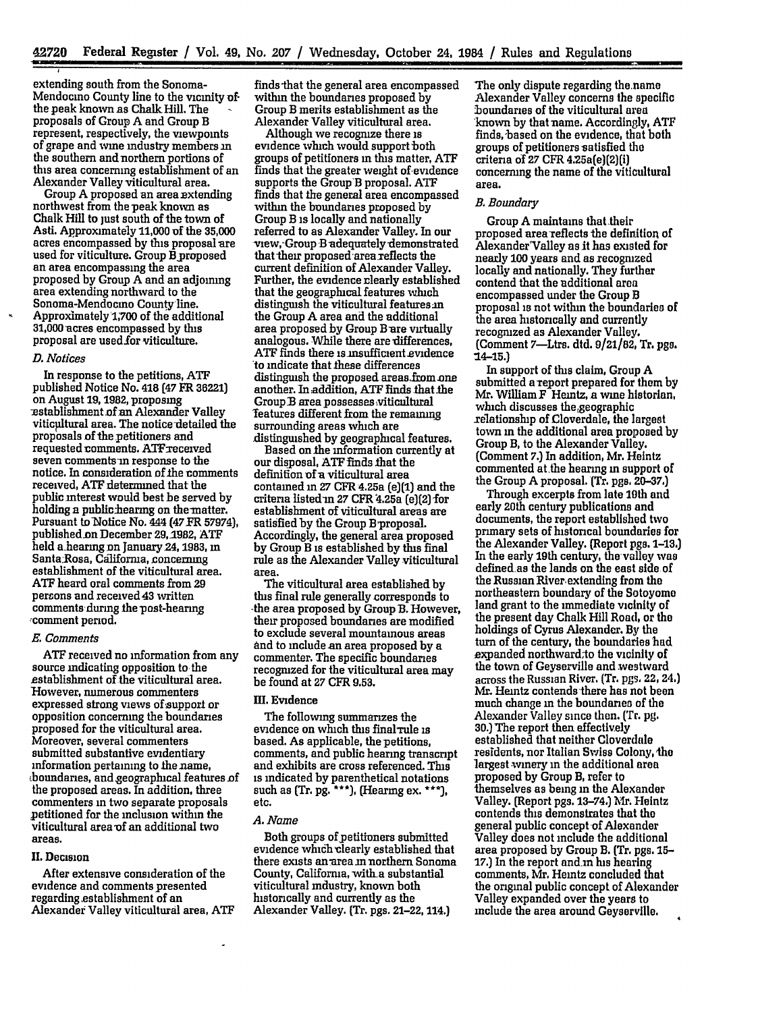extending south from the Sonoma-Mendocino County line to the vicinity ofthe peak known as Chalk Hill. The - proposals of Group **A** and Group B represent, respectively, the viewpoints of grape and wine industry members in the southern andnorthern portions of this area concerning establishment of an Alexander Valley viticultural area.

Group **A** proposed an area extending northwest from thepeak known as Chalk Hill to just south of the town of Asti. Approximately 11,000 of the **35,000** acres encompassed by this proposal are used for viticulture. Group B proposed an area encompassing the area proposed **by** Group **A** and an adjoining area extending northward to the Sonoma-Mendocmo County line. Approximately **1;700** of the additional 31,000 acres encompassed **by** this proposal are used-for viticulture.

#### *D. Notices*

In response to the petitions, **ATF** published Notice No. 418 **[47** FR **36221)** on August **19,** 1982, proposing establishment of an Alexander Valley viticultural area. The notice detailed the proposals of the petitioners and requested romments. ATFreceived seven comments in response to the notice. In consideration of the comments received, **ATF** deternined that the public interest would best be served **by** holding a public hearing on the matter. Pursuant to Notice No. 444 (47 FR 57974), published.on December 29,1982, **ATF** held a-hearng on January **24,1983,** in Santa:Rosa, California, concerning establishment of the viticultural area. **ATF** heard oral comments from 29 persons and received 43 written comments during the post-hearing ,comment period.

# *E. Comments*

**ATF** received no information from any source indicating opposition to the establishment of the viticultural area. However, numerous commenters expressed strong views of support or opposition concerning the boundaries proposed for the viticultural area. Moreover, several commenters submitted substantive evidentiary information pertaining to the name, boundaries, and geographical features of the proposed areas. In addition, three commenters in two separate proposals petitioned for the inclusion within the viticultural area of an additional two areas.

# II. Decision

After extensive consideration of the evidence and comments presented regarding establishment of an Alexander Valley viticultural area, **ATF** finds that the general area encompassed within the boundaries proposed **by** Group B merits establishment as the Alexander Valley viticultural area.

Although we recognize there is evidence which would support both groups of petitioners in this matter, **ATF** finds that the greater weight of-evidence supports the Group'B proposal. **ATF** finds that the general area encompassed within the boundaries proposed **by** Group B is locally and nationally referred to as Alexander Valley. In our view, Group B adequately demonstrated that their proposed area reflects the<br>current definition of Alexander Valley. Further, the evidence clearly established. that the geographical features which distinguish the viticultural features.in the Group A area and the additional area proposed by Group B are virtually analogous. While there are differences, ATF finds there is insufficient evidence to indicate that flese differences distinguish the proposed areas.from one another. **In** addition, **ATF** finds that **the** GroupB area possesses viticultural 'features different from the remaining surrounding areas wich are distinguished **by** geographical features.

Based on the information currently at our disposal, ATF finds that the definition **of** a viticultural area contained in **27** CFR 4.25a (e)(1) and the criteria listedm **27** CFR 4.25a (e)(2) -for establishment of viticultural areas are satisfied by the Group B-proposal. Accordingly, the general area proposed **by** Group B is established **by** this final rule as the Alexander Valley viticultural area.

The viticultural area established **by** tins final rule generally corresponds to -the area proposed **by** Group B. However, their proposed boundaries are modified to exclude several mountainous areas **and** to include an area proposed **by** a commenter. The specific boundaries recognized for the viticultural area may be found at **27** CFR **9.53.**

# **Il.** Evidence

The following summarizes the evidence on which this final rule is based. As applicable, the petitions, comments, and public hearing transcript and exhibits are cross referenced. This is indicated **by** parenthetical notations such as **(Tr. pg.** \*\*\*), **(Hearmg ex. \*\*\*)**, etc.

# *A. Name*

Both groups of petitioners submitted evidence which clearly established that there exists an area in northern Sonoma County, California, with a substantial viticultural industry, known both historically and currently as the Alexander Valley. (Tr. pgs. 21-22, 114.)

The only dispute regarding the name Alexander Valley concerns the specific boundaries of the viticultural area known **by** that name. Accordingjy, **ATF** finds, based on the evidence, that both groups of petitioners satisfied the criteria of **27** CFR 4.25a(e)(2)(i) concerning the name of the viticultural area.

## *B. Boundary*

Group **A** maintains that their proposed area reflects the definition of Alexander Valley as it has existed for nearly 100 years and as recognized locally and nationally. They further contend that the additional area encompassed under the Group B proposal is not within the boundaries of the area historically and currently recognized as Alexander Valley. (Comment 7-Ltrs. dtd. **9/21/82,** Tr. **pgs.** :14-15.)

In support of tis claim, Group **<sup>A</sup>** submitted a report prepared for them by Mr. William F Heintz, a wine historian, which discusses the geographic xelationship of Cloverdale, the largest town in the additional area proposed **by** Group B, to the Alexander Valley. (Comment **7.)** In addition, Mr. Heintz commented at the hearing in support of the Group **A** proposal. (Tr. **pgs. 20-37,)**

Through excerpts from late 10th **and** early 20th century publications and documents, the report established two primary sets of historical boundaries for the Alexander Valley. (Report **pgs. 1-13.)** In the early 19th century, the valley was defined-as the lands on the east side of the Russian River-extending from the northeastern boundary of the Sotoyomo land grant to the immediate vicinity of the present day Chalk Hill Road, or the holdings of Cyrus Alexander. **By** the turn of the century, the boundaries had expanded northward to the vicinity of the town of Geyserville and westward across the Russian River. (Tr. pgs. 22, 24.) **Mr.** Heintz contends there has not been much change in the boundaries of the Alexander Valley since then. (Tr. **pg.** 30.) The report then effectively established that neither Cloverdale residents, nor Italian Swiss Colony, the largest winery in the additional area proposed **by** Group B, refer to themselves as being in the Alexander Valley. (Report pgs. 13-74.) Mr. Heintz contends this demonstrates that the general public concept of Alexander Valley does not include the additional area proposed by Group B. **(Tr. pgs. 15- 17.)** In the report and.m his hearing comments, Mr. Heintz concluded that the original public concept of Alexander Valley expanded over the years to include the area around Geyserville.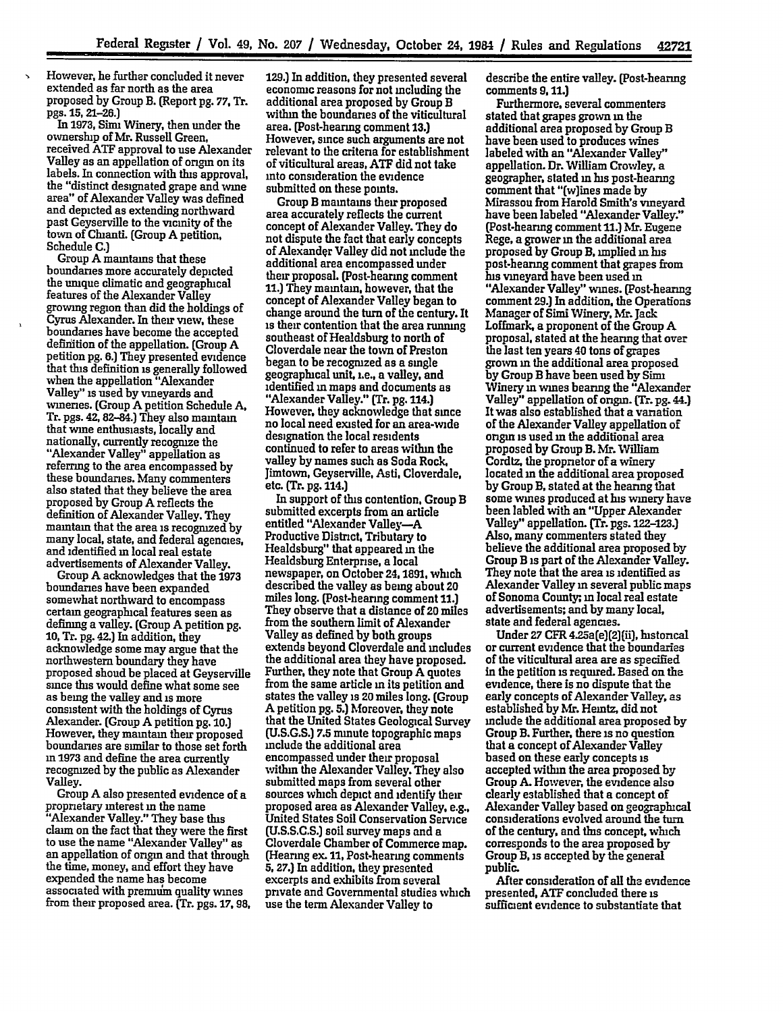However, he further concluded it never extended as far north as the area proposed **by** Group B. (Report **pg. 77, Tr.** pgs. **15, 21-26.)**

 $\ddot{\phantom{1}}$ 

In 1973, Simi Winery, then under the ownership of Mr. Russell Green, received **ATF** approval to use Alexander Valley as an appellation of origin on its labels. In connection with this approval, the "distinct designated grape and wine area" of Alexander Valley was defined and depicted as extending northward past Geyserville to the vicinity of the town of Chianti. (Group **A** petition, Schedule **C.)**

Group **A** maintains that these boundaries more accurately depicted the umque climatic and geographical features of the Alexander Valley growing region than did the holdings of Cyrus Alexander. In their view, these boundaries have become the accepted definition of the appellation. (Group **<sup>A</sup>** petition **pg. 6.)** They presented evidence that this definition is generally followed when the appellation "Alexander Valley" is used **by** vineyards and wineries. (Group **A** petition Schedule **A, Tr.** pgs. 42,82-84.) They also maintain that wine enthusiasts, locally and nationally, currently recognize the "Alexander Valley" appellation as referring to the area encompassed by these boundaries. Many commenters also stated that they believe the area proposed by Group A reflects the maintain that the area is recognized by many local, state, and federal agencies, and identified **in** local real estate advertisements of Alexander Valley.

Group **A** acknowledges that the **1973** boundaries have been expanded somewhat northward to encompass certain geographical features seen as defining a valley. (Group **A** petition **pg. 10,** *Tr.* **pg.** 42.) In addition, they acknowledge some may argue that the northwestern boundary they have proposed shoud be placed at Geyserville since this would define what some see as being the valley and is more consistent with the holdings of Cyrus Alexander. (Group **A** petition **pg. 10.)** However, they maintain their proposed boundaries are similar to those set forth **in 1973** and define the area currently recognized **by** the public as Alexander Valley.

Group **A** also presented evidence of a proprietary interest **in** the name "Alexander Valley." They base this claim on the fact that they were the first to use the name "Alexander Valley" as an appellation of origin and that through the time, money, and effort they have the time, money, and effort they have<br>expended the name has become associated with premiun quality wines from their proposed area. (Tr. pgs. **17, 98,**

129.) In addition, they presented several economic reasons for not including the additional area proposed **by** Group B within the boundaries of the viticultural area. (Post-hearing comment **13.)** However, since such arguments are not relevant to the criteria for establishment of viticultural areas, **ATF** did not take into consideration the evidence submitted on these points.

Group B maintains their proposed area accurately reflects the current concept of Alexander Valley. They do not dispute the fact that early concepts of Alexander Valley did not include the additional area encompassed under their proposal. (Post-hearing comment 11.) They maintain, however, that the concept of Alexander Valley began to change around the turn of the century. It is their contention that the area **running** southeast of Healdsburg to north of Cloverdale near the town of Preston began to be recognized as a single geographical unit, i.e., a valley, and identified **in** maps and documents as "Alexander Valley." (Tr. **pg.** 114.) However, they acknowledge that since no local need existed for an area-wide designation the local residents continued to refer to areas within the valley **by** names such as Soda **Rock,** jimtown, Geyserville, Asti, Cloverdale, etc. (Tr. **pg.** 114.)

In support of this contention, Group B submitted excerpts from an article entitled "Alexander Valley-A Productive District, Tributary to Healdsburg" that appeared in the Healdsburg Enterprise, a local newspaper, on October 24,1891, which described the valley as being about 20 miles long. (Post-hearing comment **11.)** They observe that a distance of 20 miles from the southern limit of Alexander extends beyond Cloverdale and includes the additional area they have proposed. Further, they note that Group **A** quotes from the same article **in** its petition and states the valley is 20 miles long. (Group A petition **pg. 5.)** Moreover, they note that the United States Geological Survey **(U.S.G.S.) 7.5** minute topographic maps include the additional area within the Alexander Valley. They also submitted maps from several other sources which depict and identify their proposed area as Alexander Valley, e.g., United States Soil Conservation Service **(U.S.S.C.S.)** soil survey maps and a (Hearing ex. 11, Post-hearing comments **5, 27.)** In addition, they presented excerpts and exhibits from several private and Governmental studies which use the term Alexander Valley to

describe the entire valley. (Post-hearing comments **9,11.)**

Furthermore, several commenters stated that grapes grown **in** the additional area proposed **by** Group B have been used to produces wines labeled with an "Alexander Valley" appellation. Dr. William Crowley, a geographer, stated in his post-hearing comment that "(w]ines made **by** Mirassou from Harold Smith's vineyard have been labeled "Alexander Valley." [Post-hearing comment 11.] Mr. Eugene Rege, a grower **in** the additional area proposed **by** Group **B,** implied in is post-heanng comment that grapes from his vineyard have been used in "Alexander Valley" wines. [Post-hearng comment **29.)** In addition, the Operations Manager of Simi Winery, Mr. Jack **Loffmark,** a proponent of the Group **A** proposal, stated at the hearing that over the last ten years 40 tons of grapes grown in the additional area proposed by Group B have been used **by** Sini Winery in wines bearing the "Alexander Valley" appellation of origin. **(Tr. pg.** 44.) It was also established that a variation of the Alexander Valley appellation of origin is used **in** the additional area proposed by Group B. Mr. William Cordiz, the proprietor of a winery located in the additional area proposed by Group B, stated at the hearing that some wines produced at his winery have been labled with an "Upper Alexander Valley" appellation. (Tr. pgs. **122-123.)** Also, many commenters stated they believe the additional area proposed **by** Group B is **part** of the Alexander Valley. They note that the area is identified as Alexander Valley **in** several public maps of Sonoma County;, **in** local real estate advertisements; and **by** many local, state and federal agencies.

Under **27** CER 4.25a(e)(2)[ii], historical or current evidence that the boundaries of the viticultural area are as specified in the petition is required. Based on the evidence, there is no dispute that the early concepts of Alexander Valley, as established **by** Mr. Heintz, did not include the additional area proposed **by** Group B. Further, there is no question that a concept of Alexander Valley based on these early concepts is accepted within the area proposed **by** Group **A.** However, the evidence also clearly established that a concept of Alexander Valley based on geographical considerations evolved around the turn of the century, and this concept, **winch** corresponds to the area proposed **by** Group **B,** is accepted **by** the general public.

After consideration of all the evidence presented, **ATF** concluded there is sufficient evidence to substantiate that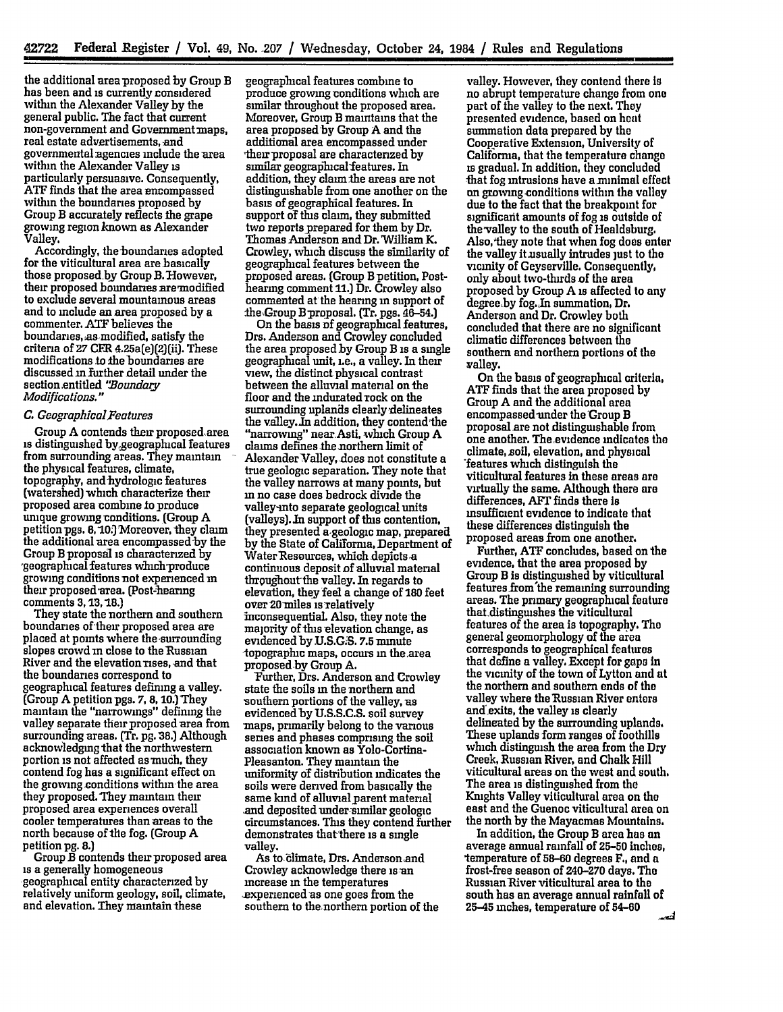the additional area proposed by Group B has been and is currently considered within the Alexander Valley **by** the general public. The fact that current non-government and Government maps, real estate advertisements, and governmental agencies include the area within the Alexander Valley is particularly persuasive. Consequently, **ATF** finds that the area mcompassed within the boundaries proposed by<br>Group B accurately reflects the grape growing region known as Alexander Valley.

Accordingly, the boundaries adopted<br>for the viticultural area are basically those proposed by Group B. However, their proposed boundaries aremodified to exclude several mountainous areas and to include an area proposed **by** a commenter. **ATF** believes the boundaries, as modified, satisfy the criteria of **27** CFR 4.25a(e)(2](ii). These modifications to the boundaries are discussed in further detail under the section.entitled *'!Boundary Modifications."*

# *C. GeographicalFeatures*

Group A contends their proposed area is distinguished bygeographical features from surrounding areas. They maintain the physical features, climate, topography, and-hydrologic features (watershed) which characterize their proposed area combine **to** produce unique growing conditions. (Group A petition pgs. 8, 10.] Moreover, they claim the additional area encompassed by the<br>Group B proposal is characterized by *geographical features which-produce* growing conditions not experienced in their proposed area. (Post-hearing comments **3, I3, 18.)**

They state the northern and southern boundaries of their proposed area are placed at points where the surrounding slopes crowd in close to the Russian River and the elevation rises, and that the boundaries correspond to geographical features defining a valley. (Group A petition pgs. 7, **8,** 10.) They maintain the "narrowings" defimng the valley separate their proposed area from surrounding areas. **(Tr.** pg. **38.)** Although acknowledging that the northwestern portion is not affected as much, they contend fog has a significant effect on the growing.conditions within the area they proposed. They maintain their proposed area experiences overall cooler temperatures than areas to the north because of the fog. (Group A petition **pg. 8.)**

Group B contends their proposed area is a generally homogeneous geographical entity characterized by relatively uniform geology, soil, climate, and elevation. They maintain these

geographical features combine to produce growing conditions which are similar throughout the proposed area. Moreover, Group B maintams that the area proposed by Group A and the additional area encompassed under their proposal are characterized by similar geographical features. In addition, they clan the areas are not distinguishable from one another on the basis of geographical features. In support of this claim, they submitted two reports prepared for them **by** Dr. Thomas Anderson and Dr. William K. Crowley, which discuss the similarity of geographical features between the proposed areas. (Group B petition, Posthearing comment 11.) Dr. Crowley also commented at the hearing in support of the-Group Bproposal. (Tr. pgs. 46-54.)

On the basis **of** geographical features, Drs. Anderson and Crowley concluded the area proposed by Group B is a single geographical unit, i.e., a valley. In their view, the distinct physical contrast between the alluvial material on the floor and the indurated rock on the surrounding uplands clearly delineates the valley.Jn addition, they contend-the "narrowing" nearAsti, which Group **A** claims defines the northern limit of Alexander Valley, does not constitute a true geologic separation. They note that the valley narrows at many points, but in no case does bedrock divide the valley-into separate geological units (valleys). In support of this contention, they presented a-geologic map, prepared **by** the State of California, Department **of** continuous deposit of alluvial material thrpaghout-the valley. In regards to elevation, they feel a change of **180** feet over 20miles is relatively inconsequential. Also, they note the majority of this elevation change, as evidenced by.U.S.G.S. **7.5** minute topographic maps, occurs in the area proposed by Group A.

Further, Drs. Anderson and Crowley state the soils in the northern and southern portions of the valley, as evidenced by **U.S.S.C.S.** soil survey -maps, primarily belong to the various series and phases comprising the soil association known as Yolo-Cortina-Pleasanton. They maintain the uniformity of distribution indicates the soils were derived from basically the same kind of alluvial parent material .and deposited under-similar geologic circumstances. **This** they contend further demonstrates that'there is a single valley.

As to climate, Drs. Anderson and Crowley acknowledge there is-an increase in the temperatures .experienced **as** one goes from the southern to thenorthern portion of the

valley. However, they contend there Is no abrupt temperature change from one part of the valley to the next. They presented evidence, based on **heat** summation data prepared **by** the Cooperative Extension, University of Califorma, that the temperature change is gradual. In addition, they concluded that fog intrusions have a minimal effect **an** growing conditions within the valley due to the fact that the breakpoint for significant amounts of fog is outside of the-valley to the south of Healdsburg. Also, they note that when fog does enter the valley it usually intrudes just to the vicinity of Geyserville. Consequently, only about two-thirds of the area proposed by Group A is affected to any degree by fog.Jn summation, Dr, Anderson and Dr. Crowley both concluded that there are no significant climatic differences between the southern and northern portions of the valley.

On the basis of geographical criteria, **ATF** finds that the area proposed **by** Group **A** and the additional area encompassed-under the Group B proposalare not distinguishable from one another. The evidence indicates the climate, soil, elevation, and physical 'features which distinguish the viticultural features in these areas are virtually the same. Although there are differences, **AFT** finds there **Is** insufficient evidence to indicate that these differences distinguish the proposed areas from one another.

Further, **ATF** concludes, based on the evidence, that the area proposed **by** Group B **is** distinguished by viticultural features from'the remaining surrounding areas. The primary geographical feature that distinguishes the viticultural features of the area is topography. The general geomorphology **of** the area corresponds to geographical features that define a valley. Except for **gaps** in the vicinity of the town of Lytton and **at** the northern and southern ends of the valley where the Russian River enters and'exits, the valley is clearly delineated by the surrounding uplands. These uplands form ranges **of** foothills which distinguish the area from the Dry Creek, Russian River, and Chalk Hill viticultural areas on the west and south. The area is distinguished from the Knights Valley viticultural area on the east and the Guenoc viticultural area on the north by the Mayacmas Mountains.

In addition, the Group B area has an average annual rainfall of **25-50** inches, 'temperature of **58-60** degrees F., and a frost-free season of 240-270 days. The Russian-River viticultural area to the south has an average annual rainfall of 25-45 inches, temperature of 54-80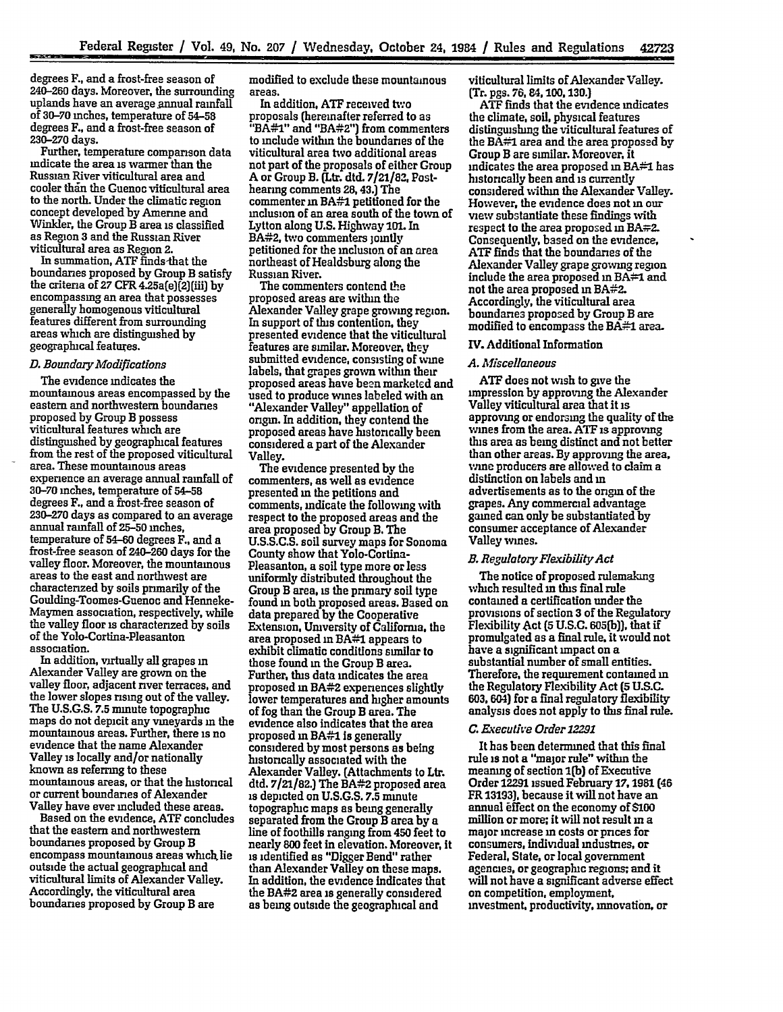degrees F., and a frost-free season of 240-260 days. Moreover, the surrounding uplands have an average annual rainfall of **30-70** inches, temperature of 54-58 degrees F., and a frost-free season of<br>230–270 days.

**Back Clevel** 

Further, temperature comparison data indicate the area is warmer than the Russian River viticultural area and cooler than the Guenoc viticultural area to the north. Under the climatic region concept developed by Amerne and Winkler, the Group B area is classified as Region **3** and the Russian River viticultural area as Region 2.

In summation, ATF finds-that the the criteria of 27 CFR 4.25a(e)(2)(iii) by encompassing an area that possesses generally homogenous viticultural features different from surrounding areas which are distinguished by geographical features.

### *D. Boundary Modifications*

The evidence indicates the mountainous areas encompassed by the eastern and northwestern boundaries proposed by Group B possess viticultural features which are distinguished by geographical features from the rest of the proposed viticultural area. These mountainous areas experience an average annual rainfall of **30-70** inches, temperature of 54-58 degrees F., and a frost-free season of **230-270** days as compared to an average annual rainfall of **25-50** inches, temperature of 54-60 degrees F., and a frost-free season of 240-260 days for the valley floor. Moreover, the mountainous areas to the east and northwest are characterized by soils primarily of the Goulding-Toomes-Guenoc and Henneke-Maymen association, respectively, while the valley floor is characterized by soils of the Yolo-Cortina-Pleasanton association.

In addition, virtually all grapes in Alexander Valley are grown on the valley floor, adjacent river terraces, and the lower slopes rising out of the valley. The **U.S.G.S. 7.5** minute topographic maps do not depicit any vineyards **in** the mountainous areas. Further, there is no evidence that the name Alexander Valley is locally and/or nationally known as referring to these mountainous areas, or that the historical or current boundaries of Alexander Valley have ever included these areas.

Based on the evidence, **ATF** concludes that the eastern and northwestern boundaries proposed **by** Group B encompass mountainous areas which lie outside the actual geographical and viticultural limits of Alexander Valley. Accordingly, the viticultural area boundaries proposed by Group B are

modified to exclude these mountainous areas.

In addition, **ATF** received tvo proposals (hereinafter referred to as "BA#1" and "BA#2") from commenters to include within the boundaries of the viticultural area two additional areas not part of the proposals of either Group **A** or Group B. (Ltr. dtd. **7/21/83,** Posthearing comments 28,43.) The commenter **m** BA#1 petitioned for the inclusion of an area south of the town of Lytton along **U.S.** Highway 101. In BA#2, two commenters jointly petitioned for the inclusion of an area northeast of Healdsburg along the Russian River.

The commenters contend **the** proposed areas are within the Alexander Valley grape growing region. In support of this contention, they presented evidence that the viticultural features are similar. Moreover, they submitted evidence, consisting of wine labels, that grapes grown within their proposed areas have been marketed and used to produce wines labeled with an "Alexander Valley" appellation of origin. In addition, they contend the proposed areas have historically been considered a part of the Alexander Valley.

The evidence presented by the commenters, as well as evidence presented in the petitions and comments, indicate the following with respect to the proposed areas and the area proposed by Group B. The U.S.S.C.S. soil survey maps for Sonoma County show that Yolo-Cortina-Pleasanton, a soil type more or less uniformly distributed throughout the Group B area, is the primary soil type found **in** both proposed areas. Based on data prepared by the Cooperative Extension, University of California, the area proposed in BA#1 appears to exhibit climatic conditions sunilar to those found **in** the Group B area. Further, this data indicates the area<br>proposed in BA#2 experiences slightly lower temperatures and higher amounts of fog than the Group B **area.** The evidence also indicates that the area proposed **in** BA#1 is generally considered by most persons as being historically associated with the Alexander Valley. (Attachments to Ltr. dtd. **7/21/82.)** The BA#2 proposed area is depicted on U.S.G.S. **7.5** minute topographic maps as being generally separated from the Group B area by a line of foothills ranging from 450 feet to nearly **800** feet in elevation. Moreover, It is identified as "Digger Bend" rather than Alexander Valley on these maps. In addition, the evidence indicates that the BA#2 area is generally considered as being outside the geographical and

viticultural limits of Alexander Valley. (Tr. pgs. **76, 84,100,130.]**

**ATF** finds that the evidence indicates the climate, soil, physical features distinguishing the viticultural features of the BA#1 area and the area proposed **by** Group B are similar. Moreover, it indicates the area proposed in  $BA#1$  has historically been and is currently considered within the Alexander Valley. However, the evidence does not **in** our view substantiate these findings with respect to the area proposed in BA#2. Consequently, based on the evidence, **ATF** finds that the boundaries of the Alexander Valley grape growing region include the area proposed **in** BA#1 and not the area proposed **in** BA#2. Accordingly, the viticultural area boundaries proposed by Group B are modified to encompass the BA#1 area.

# **IV.** Additional Information

#### *A. Miscellaneous*

**ATF** does not wish to give the impression by approving the Alexander Valley viticultural area that it is approving or endorsing the quality of the wines from the area. ATF is approving this area as being distinct and not better than other areas. By approving the area, wine producers are allowed to claim a distinction on labels and in advertisements as to the origin of the grapes. Any commercial advantage gained can only be substantiated **by** consumer acceptance of Alexander Valley wines.

# *B. RegulatozyFlexibiityAct*

The notice of proposed rulemaking which resulted **in** this final rule contained a certification under the provisions of section **3** of the Regulatory Flexibility Act **(5 U.S.C. 605(b)),** that **If** promulgated as a final rule, it would not have a significant impact on a substantial number of small entities. Therefore, the requirement contained **in** the Regulatory Flexibility Act **(5 U.S.C. 603,** 604) for a final regulatory flexibility analysis does not apply to this final rule.

#### *C. Executive Order 12291*

It has been determined that this final rule is not a "major rule" within the meaning of section **1(b)** of Executive Order 12291 issued February **17,1981 (46** FR **13193].** because it will not have an annual **ffect** on the economy of \$100 million or more; it will not result in a major increase in costs or prices for consumers, individual industries, or Federal, State, or local government agencies, or geographic regions; and it will not have a significant adverse effect on competition, employment. investment, productivity, innovation, or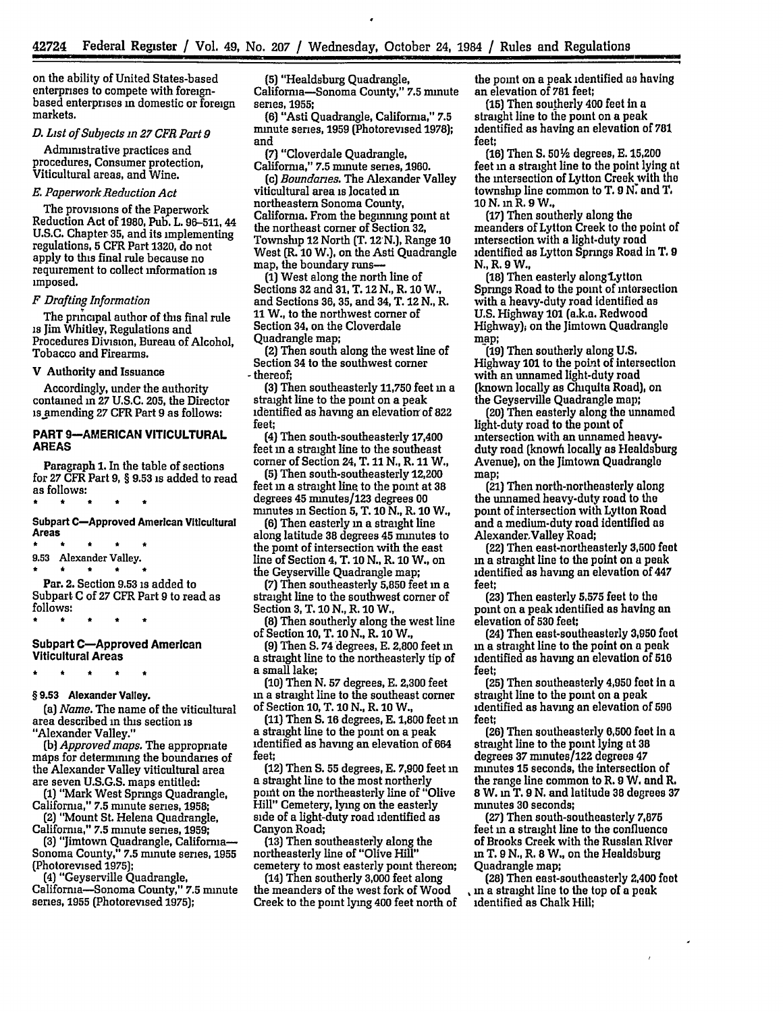on the ability of United States-based enterprises to compete with foreignbased enterprises **in** domestic or foreign markets.

# *D. List of Subjects in 27 CFR Part 9*

Administrative practices and procedures, Consumer protection, Viticultural areas, and Wine.

# *E. Paperwork Reduction Act*

The provisions of the Paperwork Reduction Act of **1980,** Pub. L. 96-511, 44 U.S.C. Chapter **35,** and its implementing regulations, **5** CFR Part **1320,** do not apply to this final rule because no requirement to collect information is imposed.

# *F Drafting Information*

The principal author of this final rule is Jim Whitley, Regulations and Procedures Division, Bureau of Alcohol, Tobacco and Firearms.

#### V Authority and Issuance

Accordingly, under the authority contained **in 27 U.S.C. 205,** the Director is amending **27** CFR Part **9** as follows:

## **PART 9-AMERICAN VITICULTURAL AREAS**

Paragraph **1.** In the table of sections for **27** CFR Part **9,** § **9.53** is added to read as follows:  $\bullet$ 

**Subpart C-Approved American Viticultural**

**Areas 9.53** Alexander Valley.

Par. 2. Section **9.53** is added to Subpart **C** of **27** CFR Part **9** to read as follows:

### **Subpart C-Approved** American **Viticultural Areas**

# **§ 9.53 Alexander Valley.**

*(a) Name.* The name of the viticultural area described in this section is "Alexander Valley."

*(b) Approved maps.* The appropriate maps for determining the boundaries of the Alexander Valley viticultural area are seven **U.S.G.S.** maps entitled:

**(1)** "Mark West Springs Quadrangle, California," **7.5** minute series, **1958;** (2) "Mount St. Helena Quadrangle,

California," **7.5** minute series, **1959;**

**(3)** "Jimtown Quadrangle, California-Sonoma County," **7.5** minute series, **1955** (Photorevised **1975);**

(4) "Geyserville Quadrangle, California-Sonoma County," **7.5** minute series, **1955** (Photorevised **1975);**

**(5)** "Healdsburg Quadrangle, Califorma-Sonoma County," **7.5** minute series, **1955;**

(6) "Asti Quadrangle, California," **7.5** minute series, **1959** (Photorevised **1978);** and

**(7)** "Cloverdale Quadrangle, California," **7.5** minute series, 1960.

*(c) Boundaries.* The Alexander Valley viticultural area is located **in** northeastern Sonoma County, California. From the beginmng point at the northeast comer of Section **32,** Townslup 12 North (T. **12-N.),** Range **10** West (R. **10** W.), on the Asti Quadrangle map, the boundary runs-

**(1)** West along the north line of Sections **32** and **31,** T. 12 **N.,** R. **10** W., and Sections **36, 35,** and 34, T. 12 **N.,** R. **11** W., to the northwest corner of Section 34, on the Cloverdale Quadrangle map;

(2) Then south along the west line of Section 34 to the southwest comer - thereof;

**(3)** Then southeasterly 11,750 feet in a straight line to the point on a peak identified as having an elevation of **822** feet;

(4) Then south-southeasterly 17,400 feet in a straight line to the southeast comer of Section 24, T. 11 **N.,** R. **11** W.,

**(5)** Then south-southeasterly 12,200 feet **in** a straight line to the point at **38** degrees 45 minutes/123 degrees 00 minutes in Section **5,** T. **10 N.,** R. **10** W.,

**(6)** Then easterly in a straight line along latitude **38** degrees 45 minutes to the point of intersection with the east line of Section 4, T. **10 N.,** R. **10** W., on the Geyserville Quadrangle map;

**(7)** Then southeasterly **5,850** feet in a straight line to the southwest corner of Section **3,** T. **10** N., R. **10** W.,

**(8)** Then southerly along the west line of Section **10,** T. **10 N.,** R. **10** W.,

**(9)** Then S. 74 degrees, **E. 2,800** feet in **a** straight line to the northeasterly tip of **a** small lake;

**(10)** Then N. **57** degrees, **E. 2,300** feet **in** a straight line to the southeast corner of Section **10,** T. 10 **N.,** R. **10** W.,

(11) Then **S.** 16 degrees, **E. 1,800** feet **in** a straight line to the point on a peak identified as having an elevation of 664 feet;

(12) Then **S. 55** degrees, **E. 7,900** feet in a straight line to the most northerly poit on the northeasterly line of "Olive Hill" Cemetery, lying on the easterly side of a light-duty road identified as Canyon Road;

**(13)** Then southeasterly along the northeasterly line of "Olive Hill" cemetery to most easterly point thereon;

(14) Then southerly **3,000** feet along the meanders of the west fork of Wood Creek to the point lying 400 feet north of the point on a peak identified as having an elevation of **781** feet;

**(15)** Then southerly 400 feet in **a** straight line to the point on a peak identified as having an elevation of **781** feet;

**(16)** Then **S. 50** degrees, **E.** 15,200 feet **m** a straight line to the point lying at the intersection of Lytton Creek with the township line common to T. **9 N** and T. **ION.** m R. 9W.,

**(17)** Then southerly along the meanders of Lytton Creek to the point of intersection with a light-duty road identified as Lytton Springs Road in T. **9 N.,** R. **9** W.,

**(18)** Then easterly alongLytton Springs Road to the point of intersection with a heavy-duty road identified as **U.S.** Highway **101** (a.k.a. Redwood Highway), on the Jimtown Quadrangle map;

**(19)** Then southerly along **U.S.** Highway **101** to the poit of intersection with an unnamed light-duty road (known locally as Chiquita Road), on the Geyserville Quadrangle map;

(20) Then easterly along the unnamed light-duty road to the point of intersection with an unnamed heavyduty road (knowh locally as Healdsburg Avenue), on the Jimtown Quadrangle map;

(21) Then north-northeasterly along the unnamed heavy-duty road to the point of intersection with Lytton Road and a medium-duty road identified as Alexander,Valley Road;

(22) Then east-northeasterly **3,600 feet in** a straight line to the point on a peak identified as having an elevation of 447 feet;

**(23)** Then easterly **5,575** feet to the point on a peak identified as having an elevation of **530** feet;

(24) Then east-southeasterly **3,950** fet **in** a straight line to the point on a peak identified as having an elevation of **510** feet;

**(25)** Then southeasterly 4,950 feet in a straight line to the point on a peak identified as having an elevation of **690** feet;

**(26)** Then southeasterly **6,500 feet** In a straight line to the point lying at **38** degrees **37** mmutes/122 degrees 47 minutes **15** seconds, the intersection of the range line common to R. **9** W. and R. **8** W. **m** T. **9 N.** and latitude **38** degrees **37** minutes **30** seconds;

**(27)** Then south-southeasterly **7,875** feet in a straight line to the confluence of Brooks Creek with the **Russian** River **in** T. **9 N.,** R. **8** W., on the Healdsburg Quadrangle map;

(28) Then east-southeasterly 2,400 **foot in** a straight line to the top of a peak identified as Chalk Hill;